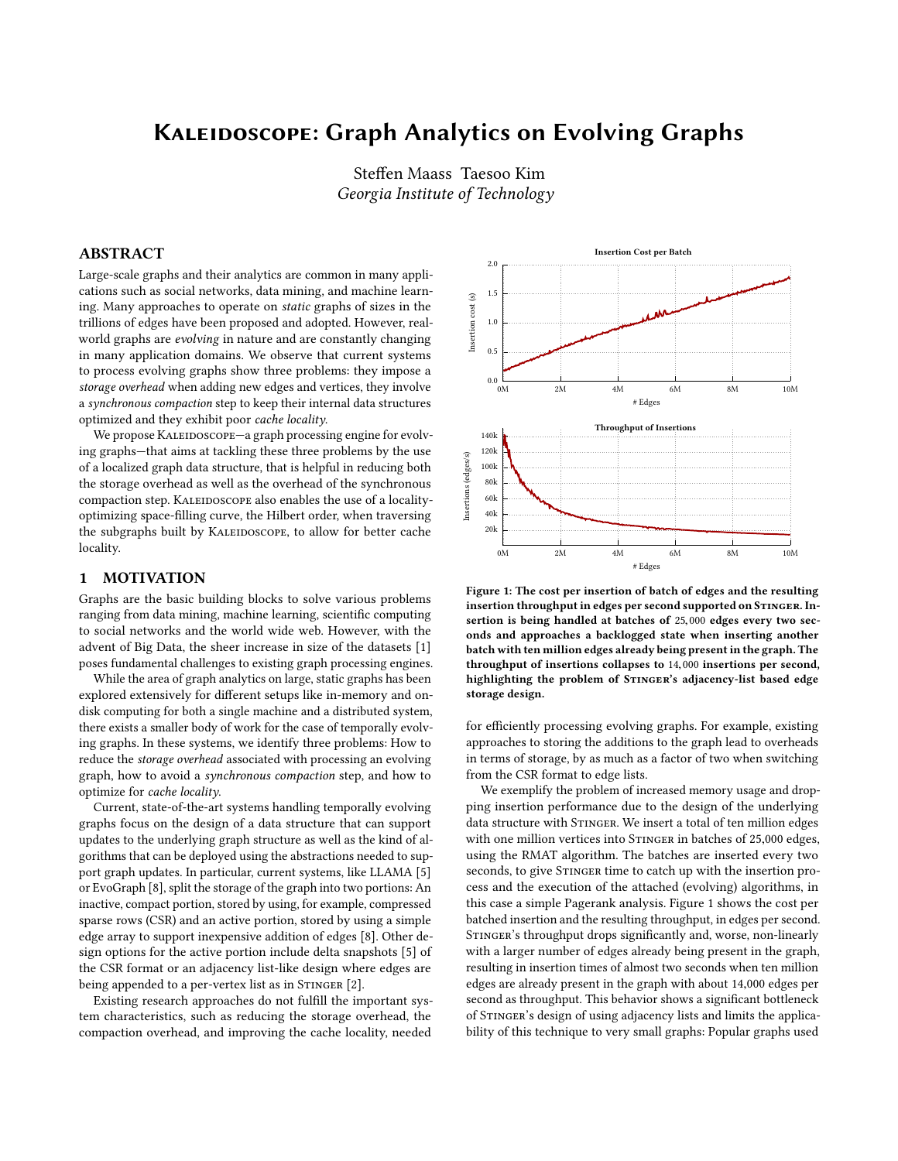# Kaleidoscope: Graph Analytics on Evolving Graphs

Steffen Maass Taesoo Kim Georgia Institute of Technology

## ABSTRACT

Large-scale graphs and their analytics are common in many applications such as social networks, data mining, and machine learning. Many approaches to operate on static graphs of sizes in the trillions of edges have been proposed and adopted. However, realworld graphs are evolving in nature and are constantly changing in many application domains. We observe that current systems to process evolving graphs show three problems: they impose a storage overhead when adding new edges and vertices, they involve a synchronous compaction step to keep their internal data structures optimized and they exhibit poor cache locality.

We propose KALEIDOSCOPE-a graph processing engine for evolving graphs—that aims at tackling these three problems by the use of a localized graph data structure, that is helpful in reducing both the storage overhead as well as the overhead of the synchronous compaction step. KALEIDOSCOPE also enables the use of a localityoptimizing space-filling curve, the Hilbert order, when traversing the subgraphs built by KALEIDOSCOPE, to allow for better cache locality.

## 1 MOTIVATION

Graphs are the basic building blocks to solve various problems ranging from data mining, machine learning, scientific computing to social networks and the world wide web. However, with the advent of Big Data, the sheer increase in size of the datasets [\[1\]](#page-2-0) poses fundamental challenges to existing graph processing engines.

While the area of graph analytics on large, static graphs has been explored extensively for different setups like in-memory and ondisk computing for both a single machine and a distributed system, there exists a smaller body of work for the case of temporally evolving graphs. In these systems, we identify three problems: How to reduce the storage overhead associated with processing an evolving graph, how to avoid a synchronous compaction step, and how to optimize for cache locality.

Current, state-of-the-art systems handling temporally evolving graphs focus on the design of a data structure that can support updates to the underlying graph structure as well as the kind of algorithms that can be deployed using the abstractions needed to support graph updates. In particular, current systems, like LLAMA [\[5\]](#page-2-1) or EvoGraph [\[8\]](#page-2-2), split the storage of the graph into two portions: An inactive, compact portion, stored by using, for example, compressed sparse rows (CSR) and an active portion, stored by using a simple edge array to support inexpensive addition of edges [\[8\]](#page-2-2). Other design options for the active portion include delta snapshots [\[5\]](#page-2-1) of the CSR format or an adjacency list-like design where edges are being appended to a per-vertex list as in STINGER [\[2\]](#page-2-3).

Existing research approaches do not fulfill the important system characteristics, such as reducing the storage overhead, the compaction overhead, and improving the cache locality, needed

<span id="page-0-0"></span>

Figure 1: The cost per insertion of batch of edges and the resulting insertion throughput in edges per second supported on STINGER. Insertion is being handled at batches of <sup>25</sup>,<sup>000</sup> edges every two seconds and approaches a backlogged state when inserting another batch with ten million edges already being present in the graph. The throughput of insertions collapses to <sup>14</sup>,<sup>000</sup> insertions per second, highlighting the problem of STINGER's adjacency-list based edge storage design.

for efficiently processing evolving graphs. For example, existing approaches to storing the additions to the graph lead to overheads in terms of storage, by as much as a factor of two when switching from the CSR format to edge lists.

We exemplify the problem of increased memory usage and dropping insertion performance due to the design of the underlying data structure with STINGER. We insert a total of ten million edges with one million vertices into STINGER in batches of 25,000 edges, using the RMAT algorithm. The batches are inserted every two seconds, to give STINGER time to catch up with the insertion process and the execution of the attached (evolving) algorithms, in this case a simple Pagerank analysis. [Figure 1](#page-0-0) shows the cost per batched insertion and the resulting throughput, in edges per second. STINGER's throughput drops significantly and, worse, non-linearly with a larger number of edges already being present in the graph, resulting in insertion times of almost two seconds when ten million edges are already present in the graph with about <sup>14</sup>,<sup>000</sup> edges per second as throughput. This behavior shows a significant bottleneck of STINGER's design of using adjacency lists and limits the applicability of this technique to very small graphs: Popular graphs used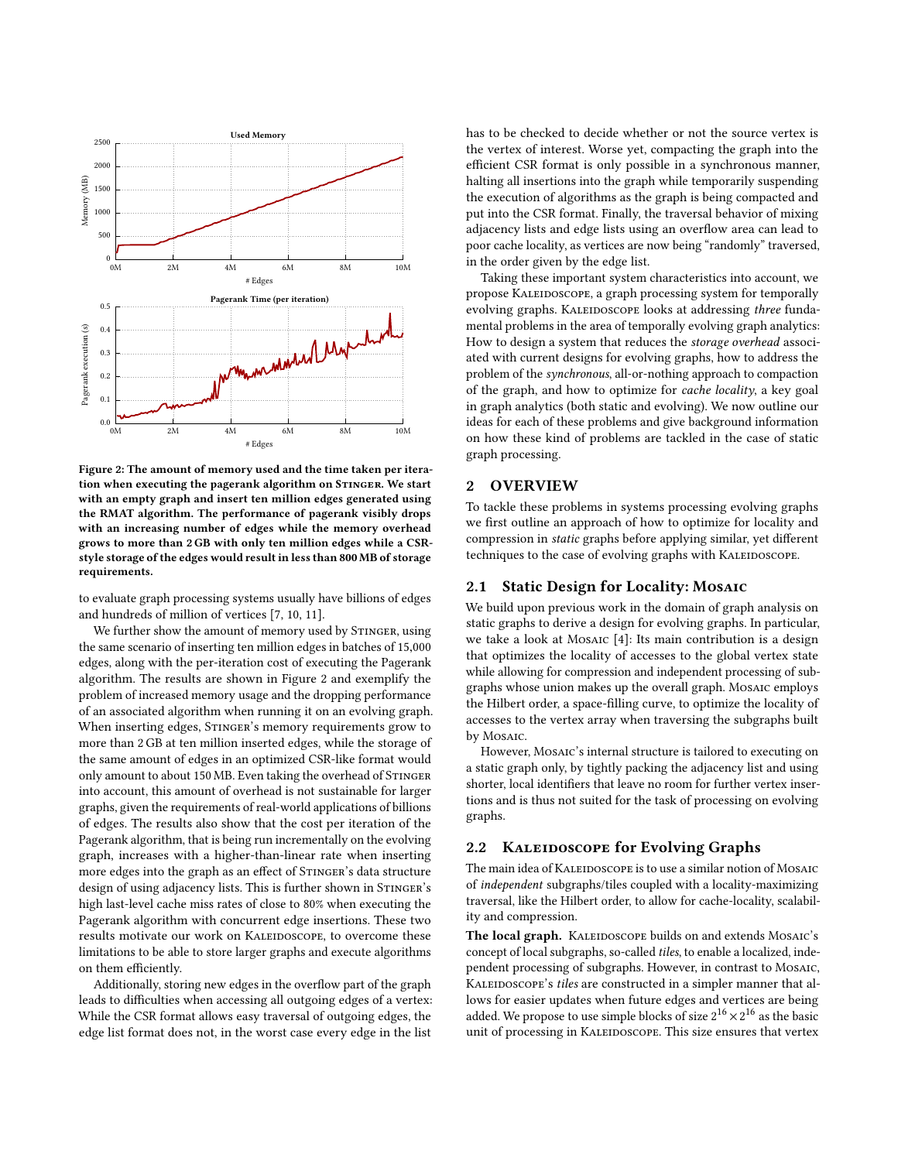<span id="page-1-0"></span>

Figure 2: The amount of memory used and the time taken per iteration when executing the pagerank algorithm on STINGER. We start with an empty graph and insert ten million edges generated using the RMAT algorithm. The performance of pagerank visibly drops with an increasing number of edges while the memory overhead grows to more than 2 GB with only ten million edges while a CSRstyle storage of the edges would result in less than 800 MB of storage requirements.

to evaluate graph processing systems usually have billions of edges and hundreds of million of vertices [\[7,](#page-2-4) [10,](#page-2-5) [11\]](#page-2-6).

We further show the amount of memory used by STINGER, using the same scenario of inserting ten million edges in batches of <sup>15</sup>,<sup>000</sup> edges, along with the per-iteration cost of executing the Pagerank algorithm. The results are shown in [Figure 2](#page-1-0) and exemplify the problem of increased memory usage and the dropping performance of an associated algorithm when running it on an evolving graph. When inserting edges, STINGER's memory requirements grow to more than 2GB at ten million inserted edges, while the storage of the same amount of edges in an optimized CSR-like format would only amount to about 150 MB. Even taking the overhead of STINGER into account, this amount of overhead is not sustainable for larger graphs, given the requirements of real-world applications of billions of edges. The results also show that the cost per iteration of the Pagerank algorithm, that is being run incrementally on the evolving graph, increases with a higher-than-linear rate when inserting more edges into the graph as an effect of STINGER's data structure design of using adjacency lists. This is further shown in STINGER's high last-level cache miss rates of close to 80% when executing the Pagerank algorithm with concurrent edge insertions. These two results motivate our work on KALEIDOSCOPE, to overcome these limitations to be able to store larger graphs and execute algorithms on them efficiently.

Additionally, storing new edges in the overflow part of the graph leads to difficulties when accessing all outgoing edges of a vertex: While the CSR format allows easy traversal of outgoing edges, the edge list format does not, in the worst case every edge in the list

has to be checked to decide whether or not the source vertex is the vertex of interest. Worse yet, compacting the graph into the efficient CSR format is only possible in a synchronous manner, halting all insertions into the graph while temporarily suspending the execution of algorithms as the graph is being compacted and put into the CSR format. Finally, the traversal behavior of mixing adjacency lists and edge lists using an overflow area can lead to poor cache locality, as vertices are now being "randomly" traversed, in the order given by the edge list.

Taking these important system characteristics into account, we propose KALEIDOSCOPE, a graph processing system for temporally evolving graphs. KALEIDOSCOPE looks at addressing three fundamental problems in the area of temporally evolving graph analytics: How to design a system that reduces the storage overhead associated with current designs for evolving graphs, how to address the problem of the synchronous, all-or-nothing approach to compaction of the graph, and how to optimize for cache locality, a key goal in graph analytics (both static and evolving). We now outline our ideas for each of these problems and give background information on how these kind of problems are tackled in the case of static graph processing.

# 2 OVERVIEW

To tackle these problems in systems processing evolving graphs we first outline an approach of how to optimize for locality and compression in static graphs before applying similar, yet different techniques to the case of evolving graphs with KALEIDOSCOPE.

## 2.1 Static Design for Locality: Mosaic

We build upon previous work in the domain of graph analysis on static graphs to derive a design for evolving graphs. In particular, we take a look at Mosaic [\[4\]](#page-2-7): Its main contribution is a design that optimizes the locality of accesses to the global vertex state while allowing for compression and independent processing of subgraphs whose union makes up the overall graph. Mosaic employs the Hilbert order, a space-filling curve, to optimize the locality of accesses to the vertex array when traversing the subgraphs built by Mosaic.

However, Mosaic's internal structure is tailored to executing on a static graph only, by tightly packing the adjacency list and using shorter, local identifiers that leave no room for further vertex insertions and is thus not suited for the task of processing on evolving graphs.

## 2.2 KALEIDOSCOPE for Evolving Graphs

The main idea of KALEIDOSCOPE is to use a similar notion of MOSAIC of independent subgraphs/tiles coupled with a locality-maximizing traversal, like the Hilbert order, to allow for cache-locality, scalability and compression.

The local graph. KALEIDOSCOPE builds on and extends MOSAIC's concept of local subgraphs, so-called tiles, to enable a localized, independent processing of subgraphs. However, in contrast to MosAIC, KALEIDOSCOPE's tiles are constructed in a simpler manner that allows for easier updates when future edges and vertices are being added. We propose to use simple blocks of size  $2^{16} \times 2^{16}$  as the basic unit of processing in KALEIDOSCOPE. This size ensures that vertex